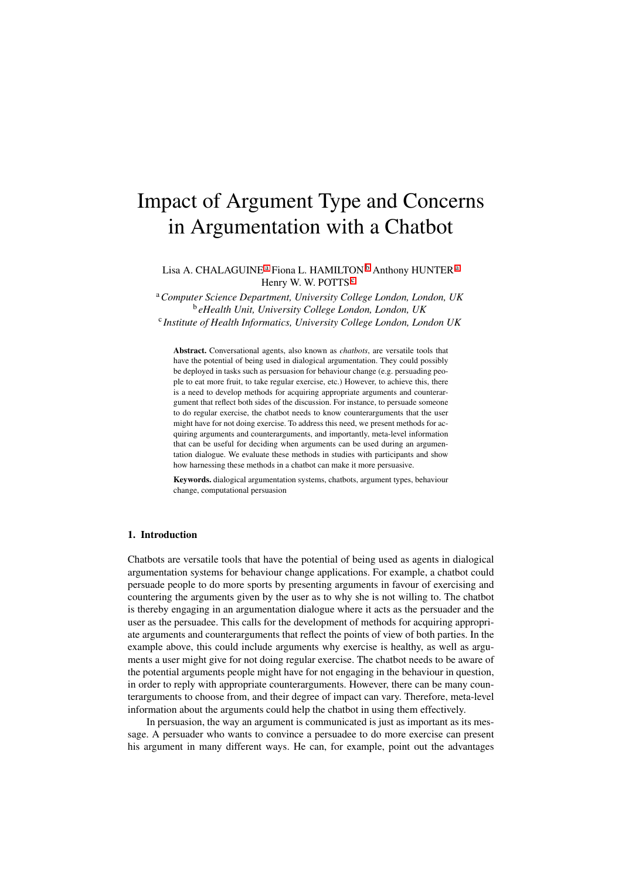# Impact of Argument Type and Concerns in Argumentation with a Chatbot

Lisa A. CHALAGUINE<sup>a</sup> Fiona L. HAMILTON<sup>b</sup> Anthony HUNTER<sup>a</sup> Henry W. W. POTTS<sup>C</sup>

<sup>a</sup>*Computer Science Department, University College London, London, UK* <sup>b</sup> *eHealth Unit, University College London, London, UK* <sup>c</sup> *Institute of Health Informatics, University College London, London UK*

Abstract. Conversational agents, also known as *chatbots*, are versatile tools that have the potential of being used in dialogical argumentation. They could possibly be deployed in tasks such as persuasion for behaviour change (e.g. persuading people to eat more fruit, to take regular exercise, etc.) However, to achieve this, there is a need to develop methods for acquiring appropriate arguments and counterargument that reflect both sides of the discussion. For instance, to persuade someone to do regular exercise, the chatbot needs to know counterarguments that the user might have for not doing exercise. To address this need, we present methods for acquiring arguments and counterarguments, and importantly, meta-level information that can be useful for deciding when arguments can be used during an argumentation dialogue. We evaluate these methods in studies with participants and show how harnessing these methods in a chatbot can make it more persuasive.

Keywords. dialogical argumentation systems, chatbots, argument types, behaviour change, computational persuasion

# 1. Introduction

Chatbots are versatile tools that have the potential of being used as agents in dialogical argumentation systems for behaviour change applications. For example, a chatbot could persuade people to do more sports by presenting arguments in favour of exercising and countering the arguments given by the user as to why she is not willing to. The chatbot is thereby engaging in an argumentation dialogue where it acts as the persuader and the user as the persuadee. This calls for the development of methods for acquiring appropriate arguments and counterarguments that reflect the points of view of both parties. In the example above, this could include arguments why exercise is healthy, as well as arguments a user might give for not doing regular exercise. The chatbot needs to be aware of the potential arguments people might have for not engaging in the behaviour in question, in order to reply with appropriate counterarguments. However, there can be many counterarguments to choose from, and their degree of impact can vary. Therefore, meta-level information about the arguments could help the chatbot in using them effectively.

In persuasion, the way an argument is communicated is just as important as its message. A persuader who wants to convince a persuadee to do more exercise can present his argument in many different ways. He can, for example, point out the advantages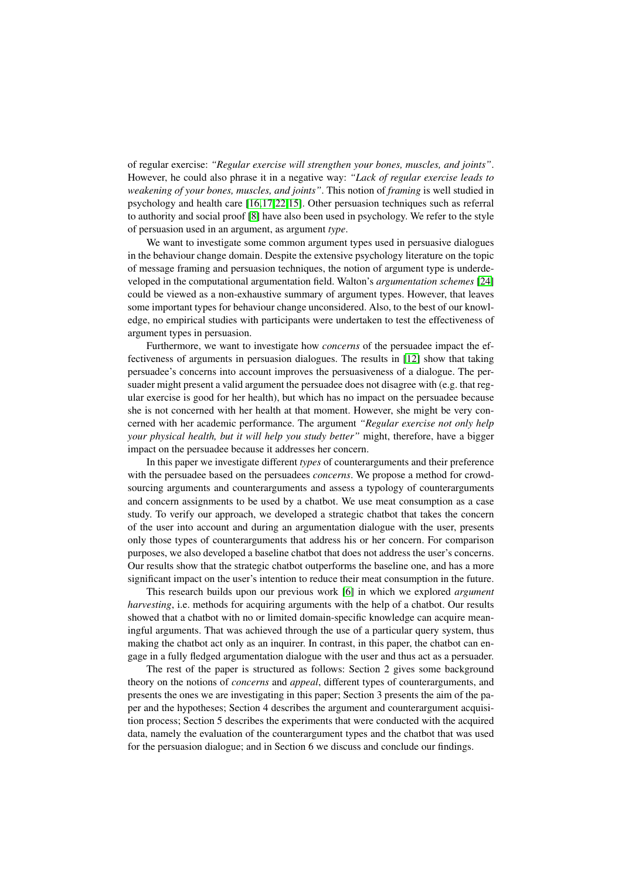of regular exercise: *"Regular exercise will strengthen your bones, muscles, and joints"*. However, he could also phrase it in a negative way: *"Lack of regular exercise leads to weakening of your bones, muscles, and joints"*. This notion of *framing* is well studied in psychology and health care  $[16,17,22,15]$ . Other persuasion techniques such as referral to authority and social proof  $\sqrt{8}$  have also been used in psychology. We refer to the style of persuasion used in an argument, as argument *type*.

We want to investigate some common argument types used in persuasive dialogues in the behaviour change domain. Despite the extensive psychology literature on the topic of message framing and persuasion techniques, the notion of argument type is underdeveloped in the computational argumentation field. Walton's *argumentation schemes* [24] could be viewed as a non-exhaustive summary of argument types. However, that leaves some important types for behaviour change unconsidered. Also, to the best of our knowledge, no empirical studies with participants were undertaken to test the effectiveness of argument types in persuasion.

Furthermore, we want to investigate how *concerns* of the persuadee impact the effectiveness of arguments in persuasion dialogues. The results in  $\boxed{12}$  show that taking persuadee's concerns into account improves the persuasiveness of a dialogue. The persuader might present a valid argument the persuadee does not disagree with (e.g. that regular exercise is good for her health), but which has no impact on the persuadee because she is not concerned with her health at that moment. However, she might be very concerned with her academic performance. The argument *"Regular exercise not only help your physical health, but it will help you study better"* might, therefore, have a bigger impact on the persuadee because it addresses her concern.

In this paper we investigate different *types* of counterarguments and their preference with the persuadee based on the persuadees *concerns*. We propose a method for crowdsourcing arguments and counterarguments and assess a typology of counterarguments and concern assignments to be used by a chatbot. We use meat consumption as a case study. To verify our approach, we developed a strategic chatbot that takes the concern of the user into account and during an argumentation dialogue with the user, presents only those types of counterarguments that address his or her concern. For comparison purposes, we also developed a baseline chatbot that does not address the user's concerns. Our results show that the strategic chatbot outperforms the baseline one, and has a more significant impact on the user's intention to reduce their meat consumption in the future.

This research builds upon our previous work [6] in which we explored *argument harvesting*, i.e. methods for acquiring arguments with the help of a chatbot. Our results showed that a chatbot with no or limited domain-specific knowledge can acquire meaningful arguments. That was achieved through the use of a particular query system, thus making the chatbot act only as an inquirer. In contrast, in this paper, the chatbot can engage in a fully fledged argumentation dialogue with the user and thus act as a persuader.

The rest of the paper is structured as follows: Section 2 gives some background theory on the notions of *concerns* and *appeal*, different types of counterarguments, and presents the ones we are investigating in this paper; Section 3 presents the aim of the paper and the hypotheses; Section 4 describes the argument and counterargument acquisition process; Section 5 describes the experiments that were conducted with the acquired data, namely the evaluation of the counterargument types and the chatbot that was used for the persuasion dialogue; and in Section 6 we discuss and conclude our findings.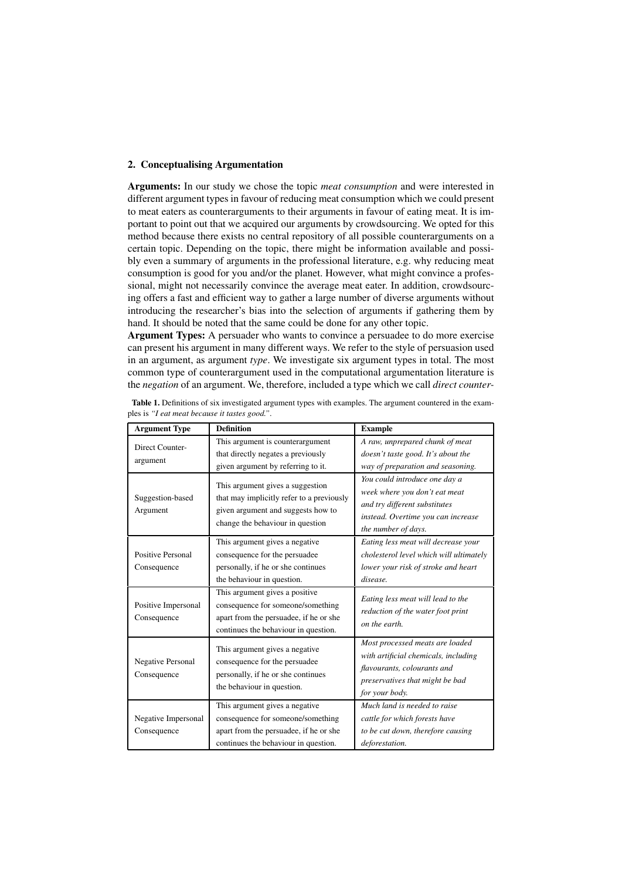# 2. Conceptualising Argumentation

Arguments: In our study we chose the topic *meat consumption* and were interested in different argument types in favour of reducing meat consumption which we could present to meat eaters as counterarguments to their arguments in favour of eating meat. It is important to point out that we acquired our arguments by crowdsourcing. We opted for this method because there exists no central repository of all possible counterarguments on a certain topic. Depending on the topic, there might be information available and possibly even a summary of arguments in the professional literature, e.g. why reducing meat consumption is good for you and/or the planet. However, what might convince a professional, might not necessarily convince the average meat eater. In addition, crowdsourcing offers a fast and efficient way to gather a large number of diverse arguments without introducing the researcher's bias into the selection of arguments if gathering them by hand. It should be noted that the same could be done for any other topic.

Argument Types: A persuader who wants to convince a persuadee to do more exercise can present his argument in many different ways. We refer to the style of persuasion used in an argument, as argument *type*. We investigate six argument types in total. The most common type of counterargument used in the computational argumentation literature is the *negation* of an argument. We, therefore, included a type which we call *direct counter-*

| <b>Argument Type</b>                                                                                                                                                                    | <b>Definition</b>                                                                                                                                     | <b>Example</b>                                                                                                                                               |
|-----------------------------------------------------------------------------------------------------------------------------------------------------------------------------------------|-------------------------------------------------------------------------------------------------------------------------------------------------------|--------------------------------------------------------------------------------------------------------------------------------------------------------------|
| Direct Counter-<br>argument                                                                                                                                                             | This argument is counterargument<br>that directly negates a previously<br>given argument by referring to it.                                          | A raw, unprepared chunk of meat<br>doesn't taste good. It's about the<br>way of preparation and seasoning.                                                   |
| This argument gives a suggestion<br>that may implicitly refer to a previously<br>Suggestion-based<br>given argument and suggests how to<br>Argument<br>change the behaviour in question |                                                                                                                                                       | You could introduce one day a<br>week where you don't eat meat<br>and try different substitutes<br>instead. Overtime you can increase<br>the number of days. |
| Positive Personal<br>Consequence                                                                                                                                                        | This argument gives a negative<br>consequence for the persuadee<br>personally, if he or she continues<br>the behaviour in question.                   | Eating less meat will decrease your<br>cholesterol level which will ultimately<br>lower your risk of stroke and heart<br>disease.                            |
| Positive Impersonal<br>Consequence                                                                                                                                                      | This argument gives a positive<br>consequence for someone/something<br>apart from the persuadee, if he or she<br>continues the behaviour in question. | Eating less meat will lead to the<br>reduction of the water foot print<br>on the earth.                                                                      |
| <b>Negative Personal</b><br>Consequence                                                                                                                                                 | This argument gives a negative<br>consequence for the persuadee<br>personally, if he or she continues<br>the behaviour in question.                   | Most processed meats are loaded<br>with artificial chemicals, including<br>flavourants, colourants and<br>preservatives that might be bad<br>for your body.  |
| Negative Impersonal<br>Consequence                                                                                                                                                      | This argument gives a negative<br>consequence for someone/something<br>apart from the persuadee, if he or she<br>continues the behaviour in question. | Much land is needed to raise<br>cattle for which forests have<br>to be cut down, therefore causing<br>deforestation.                                         |

Table 1. Definitions of six investigated argument types with examples. The argument countered in the examples is *"I eat meat because it tastes good."*.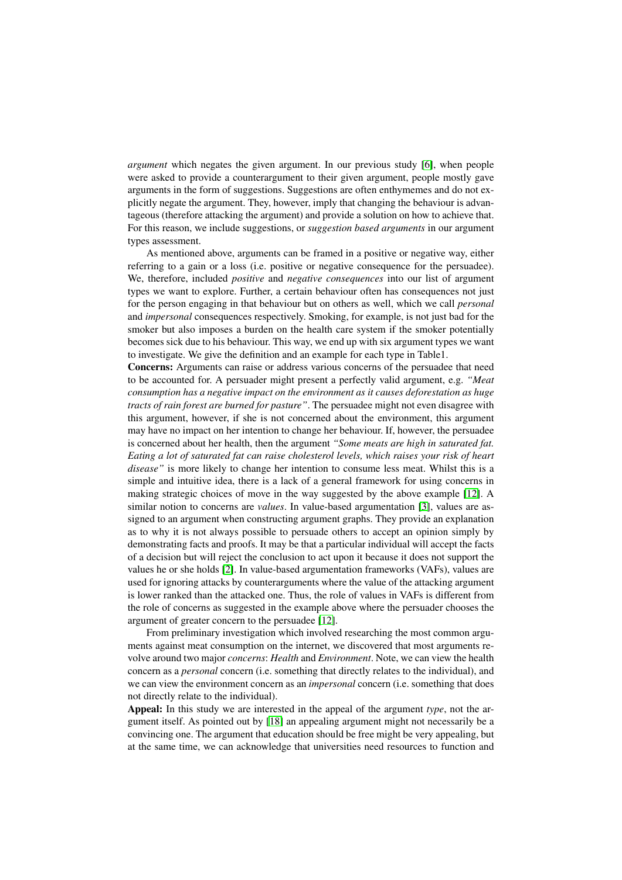*argument* which negates the given argument. In our previous study  $\overline{6}$ , when people were asked to provide a counterargument to their given argument, people mostly gave arguments in the form of suggestions. Suggestions are often enthymemes and do not explicitly negate the argument. They, however, imply that changing the behaviour is advantageous (therefore attacking the argument) and provide a solution on how to achieve that. For this reason, we include suggestions, or *suggestion based arguments* in our argument types assessment.

As mentioned above, arguments can be framed in a positive or negative way, either referring to a gain or a loss (i.e. positive or negative consequence for the persuadee). We, therefore, included *positive* and *negative consequences* into our list of argument types we want to explore. Further, a certain behaviour often has consequences not just for the person engaging in that behaviour but on others as well, which we call *personal* and *impersonal* consequences respectively. Smoking, for example, is not just bad for the smoker but also imposes a burden on the health care system if the smoker potentially becomes sick due to his behaviour. This way, we end up with six argument types we want to investigate. We give the definition and an example for each type in Table1.

Concerns: Arguments can raise or address various concerns of the persuadee that need to be accounted for. A persuader might present a perfectly valid argument, e.g. *"Meat consumption has a negative impact on the environment as it causes deforestation as huge tracts of rain forest are burned for pasture"*. The persuadee might not even disagree with this argument, however, if she is not concerned about the environment, this argument may have no impact on her intention to change her behaviour. If, however, the persuadee is concerned about her health, then the argument *"Some meats are high in saturated fat. Eating a lot of saturated fat can raise cholesterol levels, which raises your risk of heart disease"* is more likely to change her intention to consume less meat. Whilst this is a simple and intuitive idea, there is a lack of a general framework for using concerns in making strategic choices of move in the way suggested by the above example [12]. A similar notion to concerns are *values*. In value-based argumentation [3], values are assigned to an argument when constructing argument graphs. They provide an explanation as to why it is not always possible to persuade others to accept an opinion simply by demonstrating facts and proofs. It may be that a particular individual will accept the facts of a decision but will reject the conclusion to act upon it because it does not support the values he or she holds  $\boxed{2}$ . In value-based argumentation frameworks (VAFs), values are used for ignoring attacks by counterarguments where the value of the attacking argument is lower ranked than the attacked one. Thus, the role of values in VAFs is different from the role of concerns as suggested in the example above where the persuader chooses the argument of greater concern to the persuadee [12].

From preliminary investigation which involved researching the most common arguments against meat consumption on the internet, we discovered that most arguments revolve around two major *concerns*: *Health* and *Environment*. Note, we can view the health concern as a *personal* concern (i.e. something that directly relates to the individual), and we can view the environment concern as an *impersonal* concern (i.e. something that does not directly relate to the individual).

Appeal: In this study we are interested in the appeal of the argument *type*, not the argument itself. As pointed out by  $[18]$  an appealing argument might not necessarily be a convincing one. The argument that education should be free might be very appealing, but at the same time, we can acknowledge that universities need resources to function and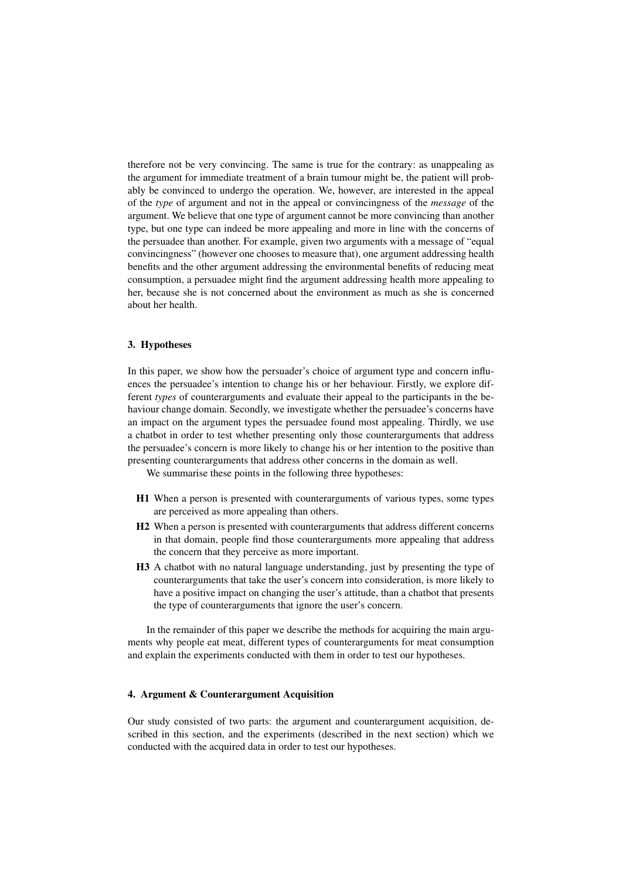therefore not be very convincing. The same is true for the contrary: as unappealing as the argument for immediate treatment of a brain tumour might be, the patient will probably be convinced to undergo the operation. We, however, are interested in the appeal of the *type* of argument and not in the appeal or convincingness of the *message* of the argument. We believe that one type of argument cannot be more convincing than another type, but one type can indeed be more appealing and more in line with the concerns of the persuadee than another. For example, given two arguments with a message of "equal convincingness" (however one chooses to measure that), one argument addressing health benefits and the other argument addressing the environmental benefits of reducing meat consumption, a persuadee might find the argument addressing health more appealing to her, because she is not concerned about the environment as much as she is concerned about her health.

## 3. Hypotheses

In this paper, we show how the persuader's choice of argument type and concern influences the persuadee's intention to change his or her behaviour. Firstly, we explore different *types* of counterarguments and evaluate their appeal to the participants in the behaviour change domain. Secondly, we investigate whether the persuadee's concerns have an impact on the argument types the persuadee found most appealing. Thirdly, we use a chatbot in order to test whether presenting only those counterarguments that address the persuadee's concern is more likely to change his or her intention to the positive than presenting counterarguments that address other concerns in the domain as well.

We summarise these points in the following three hypotheses:

- H1 When a person is presented with counterarguments of various types, some types are perceived as more appealing than others.
- H2 When a person is presented with counterarguments that address different concerns in that domain, people find those counterarguments more appealing that address the concern that they perceive as more important.
- H3 A chatbot with no natural language understanding, just by presenting the type of counterarguments that take the user's concern into consideration, is more likely to have a positive impact on changing the user's attitude, than a chatbot that presents the type of counterarguments that ignore the user's concern.

In the remainder of this paper we describe the methods for acquiring the main arguments why people eat meat, different types of counterarguments for meat consumption and explain the experiments conducted with them in order to test our hypotheses.

## 4. Argument & Counterargument Acquisition

Our study consisted of two parts: the argument and counterargument acquisition, described in this section, and the experiments (described in the next section) which we conducted with the acquired data in order to test our hypotheses.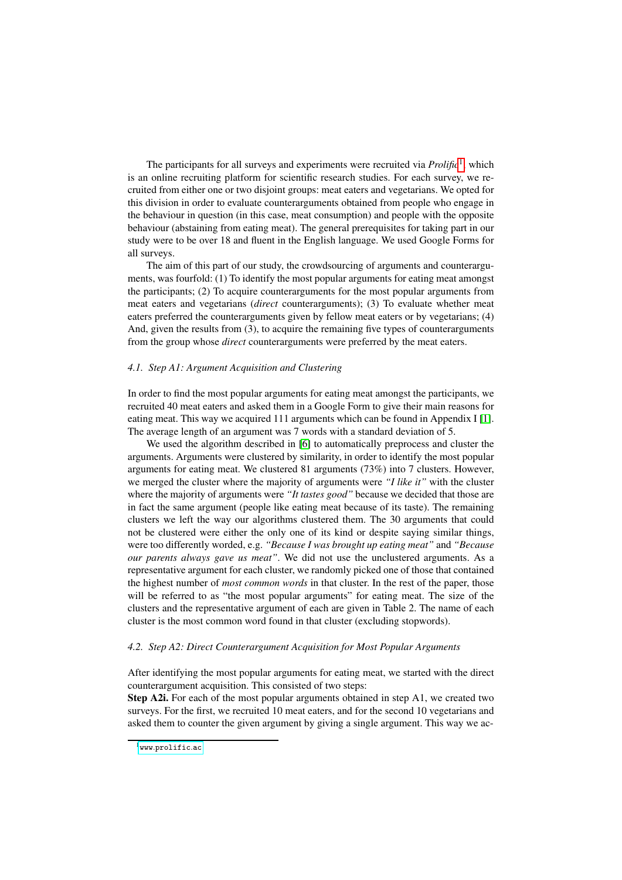The participants for all surveys and experiments were recruited via *Prolific*1, which is an online recruiting platform for scientific research studies. For each survey, we recruited from either one or two disjoint groups: meat eaters and vegetarians. We opted for this division in order to evaluate counterarguments obtained from people who engage in the behaviour in question (in this case, meat consumption) and people with the opposite behaviour (abstaining from eating meat). The general prerequisites for taking part in our study were to be over 18 and fluent in the English language. We used Google Forms for all surveys.

The aim of this part of our study, the crowdsourcing of arguments and counterarguments, was fourfold: (1) To identify the most popular arguments for eating meat amongst the participants; (2) To acquire counterarguments for the most popular arguments from meat eaters and vegetarians (*direct* counterarguments); (3) To evaluate whether meat eaters preferred the counterarguments given by fellow meat eaters or by vegetarians; (4) And, given the results from (3), to acquire the remaining five types of counterarguments from the group whose *direct* counterarguments were preferred by the meat eaters.

#### *4.1. Step A1: Argument Acquisition and Clustering*

In order to find the most popular arguments for eating meat amongst the participants, we recruited 40 meat eaters and asked them in a Google Form to give their main reasons for eating meat. This way we acquired 111 arguments which can be found in Appendix I  $\prod$ . The average length of an argument was 7 words with a standard deviation of 5.

We used the algorithm described in  $\overline{6}$  to automatically preprocess and cluster the arguments. Arguments were clustered by similarity, in order to identify the most popular arguments for eating meat. We clustered 81 arguments (73%) into 7 clusters. However, we merged the cluster where the majority of arguments were *"I like it"* with the cluster where the majority of arguments were *"It tastes good"* because we decided that those are in fact the same argument (people like eating meat because of its taste). The remaining clusters we left the way our algorithms clustered them. The 30 arguments that could not be clustered were either the only one of its kind or despite saying similar things, were too differently worded, e.g. *"Because I was brought up eating meat"* and *"Because our parents always gave us meat"*. We did not use the unclustered arguments. As a representative argument for each cluster, we randomly picked one of those that contained the highest number of *most common words* in that cluster. In the rest of the paper, those will be referred to as "the most popular arguments" for eating meat. The size of the clusters and the representative argument of each are given in Table 2. The name of each cluster is the most common word found in that cluster (excluding stopwords).

#### *4.2. Step A2: Direct Counterargument Acquisition for Most Popular Arguments*

After identifying the most popular arguments for eating meat, we started with the direct counterargument acquisition. This consisted of two steps:

Step A2i. For each of the most popular arguments obtained in step A1, we created two surveys. For the first, we recruited 10 meat eaters, and for the second 10 vegetarians and asked them to counter the given argument by giving a single argument. This way we ac-

www.prolific.ac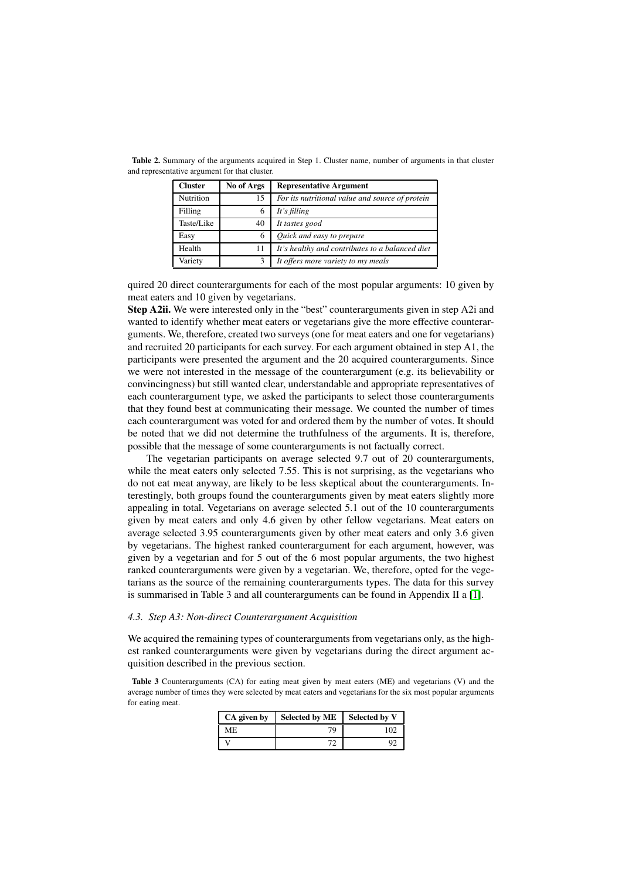| <b>Cluster</b> | No of Args | <b>Representative Argument</b>                  |
|----------------|------------|-------------------------------------------------|
| Nutrition      | 15         | For its nutritional value and source of protein |
| Filling        | 6          | It's filling                                    |
| Taste/Like     | 40         | It tastes good                                  |
| Easy           | 6          | Quick and easy to prepare                       |
| Health         | 11         | It's healthy and contributes to a balanced diet |
| Variety        | 3          | It offers more variety to my meals              |

Table 2. Summary of the arguments acquired in Step 1. Cluster name, number of arguments in that cluster and representative argument for that cluster.

quired 20 direct counterarguments for each of the most popular arguments: 10 given by meat eaters and 10 given by vegetarians.

Step A2ii. We were interested only in the "best" counterarguments given in step A2i and wanted to identify whether meat eaters or vegetarians give the more effective counterarguments. We, therefore, created two surveys (one for meat eaters and one for vegetarians) and recruited 20 participants for each survey. For each argument obtained in step A1, the participants were presented the argument and the 20 acquired counterarguments. Since we were not interested in the message of the counterargument (e.g. its believability or convincingness) but still wanted clear, understandable and appropriate representatives of each counterargument type, we asked the participants to select those counterarguments that they found best at communicating their message. We counted the number of times each counterargument was voted for and ordered them by the number of votes. It should be noted that we did not determine the truthfulness of the arguments. It is, therefore, possible that the message of some counterarguments is not factually correct.

The vegetarian participants on average selected 9.7 out of 20 counterarguments, while the meat eaters only selected 7.55. This is not surprising, as the vegetarians who do not eat meat anyway, are likely to be less skeptical about the counterarguments. Interestingly, both groups found the counterarguments given by meat eaters slightly more appealing in total. Vegetarians on average selected 5.1 out of the 10 counterarguments given by meat eaters and only 4.6 given by other fellow vegetarians. Meat eaters on average selected 3.95 counterarguments given by other meat eaters and only 3.6 given by vegetarians. The highest ranked counterargument for each argument, however, was given by a vegetarian and for 5 out of the 6 most popular arguments, the two highest ranked counterarguments were given by a vegetarian. We, therefore, opted for the vegetarians as the source of the remaining counterarguments types. The data for this survey is summarised in Table 3 and all counterarguments can be found in Appendix II a  $\Pi$ .

#### *4.3. Step A3: Non-direct Counterargument Acquisition*

We acquired the remaining types of counterarguments from vegetarians only, as the highest ranked counterarguments were given by vegetarians during the direct argument acquisition described in the previous section.

Table 3 Counterarguments (CA) for eating meat given by meat eaters (ME) and vegetarians (V) and the average number of times they were selected by meat eaters and vegetarians for the six most popular arguments for eating meat.

| CA given by | <b>Selected by ME</b> | Selected by V |
|-------------|-----------------------|---------------|
| МE          | 79                    | 1 O C         |
|             |                       |               |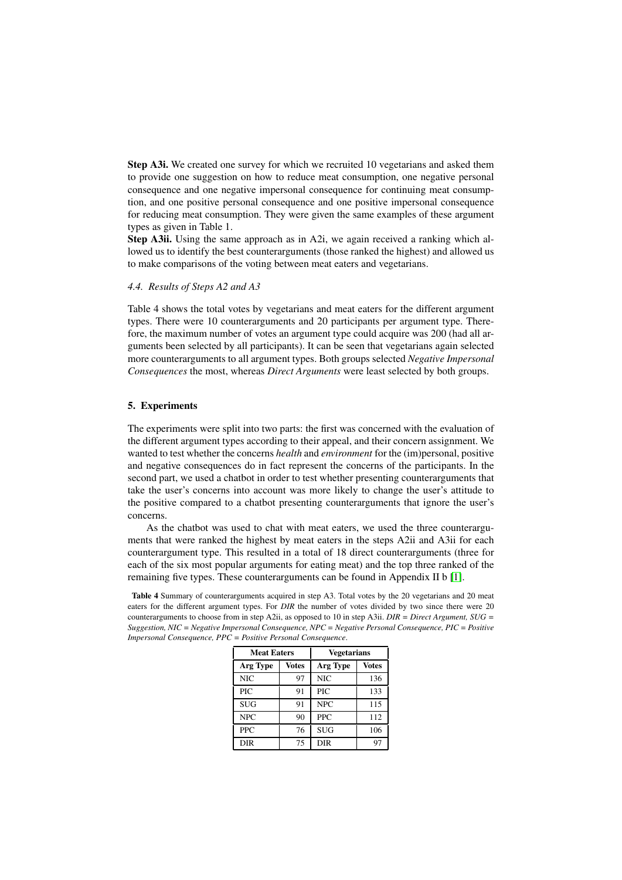Step A3i. We created one survey for which we recruited 10 vegetarians and asked them to provide one suggestion on how to reduce meat consumption, one negative personal consequence and one negative impersonal consequence for continuing meat consumption, and one positive personal consequence and one positive impersonal consequence for reducing meat consumption. They were given the same examples of these argument types as given in Table 1.

Step A3ii. Using the same approach as in A2i, we again received a ranking which allowed us to identify the best counterarguments (those ranked the highest) and allowed us to make comparisons of the voting between meat eaters and vegetarians.

## *4.4. Results of Steps A2 and A3*

Table 4 shows the total votes by vegetarians and meat eaters for the different argument types. There were 10 counterarguments and 20 participants per argument type. Therefore, the maximum number of votes an argument type could acquire was 200 (had all arguments been selected by all participants). It can be seen that vegetarians again selected more counterarguments to all argument types. Both groups selected *Negative Impersonal Consequences* the most, whereas *Direct Arguments* were least selected by both groups.

# 5. Experiments

The experiments were split into two parts: the first was concerned with the evaluation of the different argument types according to their appeal, and their concern assignment. We wanted to test whether the concerns *health* and *environment* for the (im)personal, positive and negative consequences do in fact represent the concerns of the participants. In the second part, we used a chatbot in order to test whether presenting counterarguments that take the user's concerns into account was more likely to change the user's attitude to the positive compared to a chatbot presenting counterarguments that ignore the user's concerns.

As the chatbot was used to chat with meat eaters, we used the three counterarguments that were ranked the highest by meat eaters in the steps A2ii and A3ii for each counterargument type. This resulted in a total of 18 direct counterarguments (three for each of the six most popular arguments for eating meat) and the top three ranked of the remaining five types. These counterarguments can be found in Appendix II b  $\boxed{1}$ .

Table 4 Summary of counterarguments acquired in step A3. Total votes by the 20 vegetarians and 20 meat eaters for the different argument types. For *DIR* the number of votes divided by two since there were 20 counterarguments to choose from in step A2ii, as opposed to 10 in step A3ii. *DIR = Direct Argument, SUG = Suggestion, NIC = Negative Impersonal Consequence, NPC = Negative Personal Consequence, PIC = Positive Impersonal Consequence, PPC = Positive Personal Consequence*.

| <b>Meat Eaters</b> |       | <b>Vegetarians</b> |       |  |  |
|--------------------|-------|--------------------|-------|--|--|
| Arg Type           | Votes | Arg Type           | Votes |  |  |
| <b>NIC</b>         | 97    | <b>NIC</b>         | 136   |  |  |
| <b>PIC</b>         | 91    | PIC                | 133   |  |  |
| <b>SUG</b>         | 91    | <b>NPC</b>         | 115   |  |  |
| <b>NPC</b>         | 90    | <b>PPC</b>         | 112   |  |  |
| <b>PPC</b>         | 76    | <b>SUG</b>         | 106   |  |  |
| DIR                | 75    | DIR                | 97    |  |  |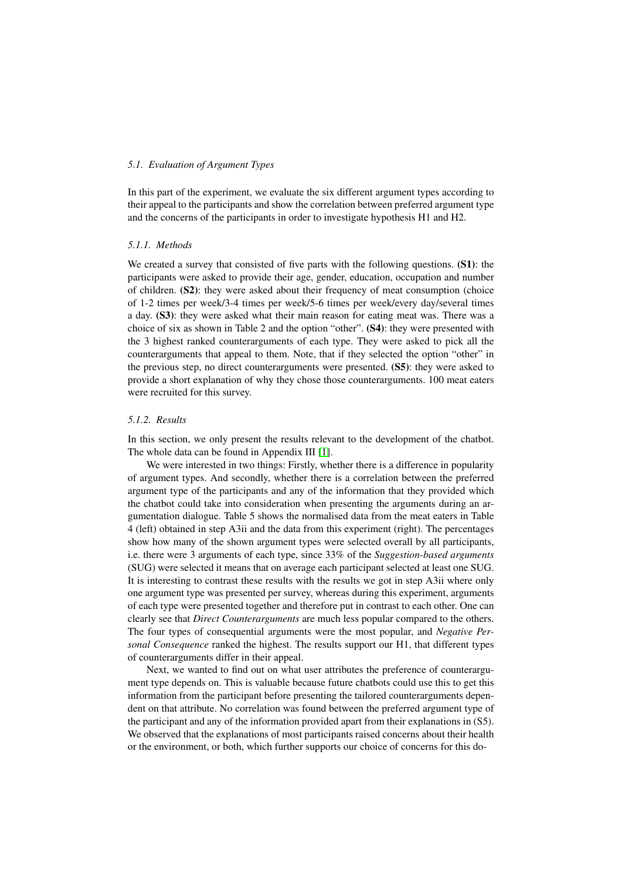## *5.1. Evaluation of Argument Types*

In this part of the experiment, we evaluate the six different argument types according to their appeal to the participants and show the correlation between preferred argument type and the concerns of the participants in order to investigate hypothesis H1 and H2.

# *5.1.1. Methods*

We created a survey that consisted of five parts with the following questions. (S1): the participants were asked to provide their age, gender, education, occupation and number of children. (S2): they were asked about their frequency of meat consumption (choice of 1-2 times per week/3-4 times per week/5-6 times per week/every day/several times a day. (S3): they were asked what their main reason for eating meat was. There was a choice of six as shown in Table 2 and the option "other". (S4): they were presented with the 3 highest ranked counterarguments of each type. They were asked to pick all the counterarguments that appeal to them. Note, that if they selected the option "other" in the previous step, no direct counterarguments were presented. (S5): they were asked to provide a short explanation of why they chose those counterarguments. 100 meat eaters were recruited for this survey.

## *5.1.2. Results*

In this section, we only present the results relevant to the development of the chatbot. The whole data can be found in Appendix III  $\boxed{1}$ .

We were interested in two things: Firstly, whether there is a difference in popularity of argument types. And secondly, whether there is a correlation between the preferred argument type of the participants and any of the information that they provided which the chatbot could take into consideration when presenting the arguments during an argumentation dialogue. Table 5 shows the normalised data from the meat eaters in Table 4 (left) obtained in step A3ii and the data from this experiment (right). The percentages show how many of the shown argument types were selected overall by all participants, i.e. there were 3 arguments of each type, since 33% of the *Suggestion-based arguments* (SUG) were selected it means that on average each participant selected at least one SUG. It is interesting to contrast these results with the results we got in step A3ii where only one argument type was presented per survey, whereas during this experiment, arguments of each type were presented together and therefore put in contrast to each other. One can clearly see that *Direct Counterarguments* are much less popular compared to the others. The four types of consequential arguments were the most popular, and *Negative Personal Consequence* ranked the highest. The results support our H1, that different types of counterarguments differ in their appeal.

Next, we wanted to find out on what user attributes the preference of counterargument type depends on. This is valuable because future chatbots could use this to get this information from the participant before presenting the tailored counterarguments dependent on that attribute. No correlation was found between the preferred argument type of the participant and any of the information provided apart from their explanations in (S5). We observed that the explanations of most participants raised concerns about their health or the environment, or both, which further supports our choice of concerns for this do-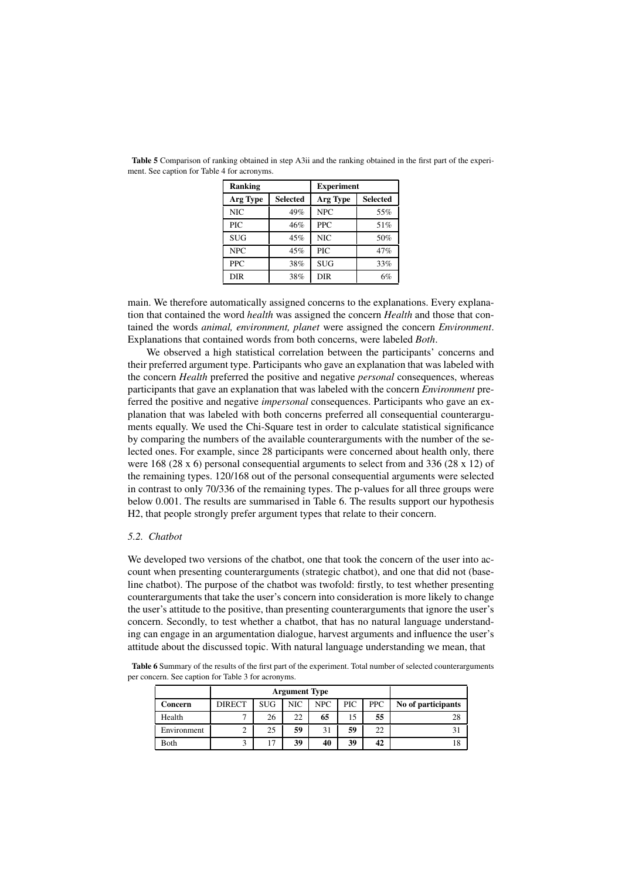| Ranking    |                 | <b>Experiment</b> |                 |  |  |
|------------|-----------------|-------------------|-----------------|--|--|
| Arg Type   | <b>Selected</b> | Arg Type          | <b>Selected</b> |  |  |
| <b>NIC</b> | 49%             | <b>NPC</b>        | 55%             |  |  |
| PIC        | 46%             | <b>PPC</b>        | 51%             |  |  |
| <b>SUG</b> | 45%             | NIC               | 50%             |  |  |
| <b>NPC</b> | 45%             | PIC               | 47%             |  |  |
| <b>PPC</b> | 38%             | <b>SUG</b>        | 33%             |  |  |
| DIR        | 38%             | DIR               | 6%              |  |  |

Table 5 Comparison of ranking obtained in step A3ii and the ranking obtained in the first part of the experiment. See caption for Table 4 for acronyms.

main. We therefore automatically assigned concerns to the explanations. Every explanation that contained the word *health* was assigned the concern *Health* and those that contained the words *animal, environment, planet* were assigned the concern *Environment*. Explanations that contained words from both concerns, were labeled *Both*.

We observed a high statistical correlation between the participants' concerns and their preferred argument type. Participants who gave an explanation that was labeled with the concern *Health* preferred the positive and negative *personal* consequences, whereas participants that gave an explanation that was labeled with the concern *Environment* preferred the positive and negative *impersonal* consequences. Participants who gave an explanation that was labeled with both concerns preferred all consequential counterarguments equally. We used the Chi-Square test in order to calculate statistical significance by comparing the numbers of the available counterarguments with the number of the selected ones. For example, since 28 participants were concerned about health only, there were 168 (28 x 6) personal consequential arguments to select from and 336 (28 x 12) of the remaining types. 120/168 out of the personal consequential arguments were selected in contrast to only 70/336 of the remaining types. The p-values for all three groups were below 0.001. The results are summarised in Table 6. The results support our hypothesis H2, that people strongly prefer argument types that relate to their concern.

### *5.2. Chatbot*

We developed two versions of the chatbot, one that took the concern of the user into account when presenting counterarguments (strategic chatbot), and one that did not (baseline chatbot). The purpose of the chatbot was twofold: firstly, to test whether presenting counterarguments that take the user's concern into consideration is more likely to change the user's attitude to the positive, than presenting counterarguments that ignore the user's concern. Secondly, to test whether a chatbot, that has no natural language understanding can engage in an argumentation dialogue, harvest arguments and influence the user's attitude about the discussed topic. With natural language understanding we mean, that

Table 6 Summary of the results of the first part of the experiment. Total number of selected counterarguments per concern. See caption for Table 3 for acronyms.

|             |               | <b>Argument Type</b> |     |      |     |            |                    |
|-------------|---------------|----------------------|-----|------|-----|------------|--------------------|
| Concern     | <b>DIRECT</b> | <b>SUG</b>           | NIC | NPC. | PIC | <b>PPC</b> | No of participants |
| Health      |               | 26                   | 22  | 65   | 15  | 55         | 28                 |
| Environment |               | 25                   | 59  | 31   | 59  | 22         |                    |
| Both        |               |                      | 39  | 40   | 39  | 42         | 18                 |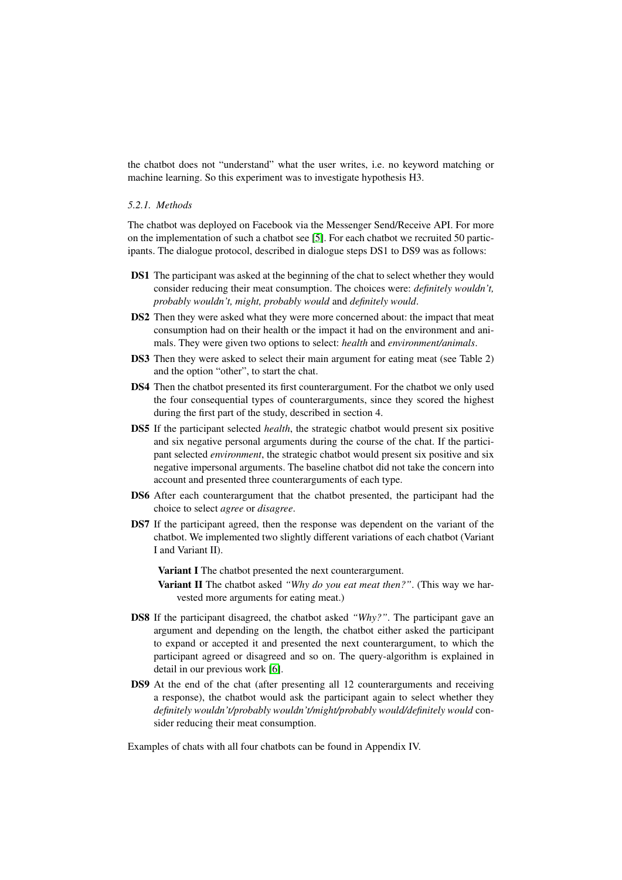the chatbot does not "understand" what the user writes, i.e. no keyword matching or machine learning. So this experiment was to investigate hypothesis H3.

#### *5.2.1. Methods*

The chatbot was deployed on Facebook via the Messenger Send/Receive API. For more on the implementation of such a chatbot see  $\boxed{5}$ . For each chatbot we recruited 50 participants. The dialogue protocol, described in dialogue steps DS1 to DS9 was as follows:

- DS1 The participant was asked at the beginning of the chat to select whether they would consider reducing their meat consumption. The choices were: *definitely wouldn't, probably wouldn't, might, probably would* and *definitely would*.
- DS2 Then they were asked what they were more concerned about: the impact that meat consumption had on their health or the impact it had on the environment and animals. They were given two options to select: *health* and *environment/animals*.
- DS3 Then they were asked to select their main argument for eating meat (see Table 2) and the option "other", to start the chat.
- DS4 Then the chatbot presented its first counterargument. For the chatbot we only used the four consequential types of counterarguments, since they scored the highest during the first part of the study, described in section 4.
- DS5 If the participant selected *health*, the strategic chatbot would present six positive and six negative personal arguments during the course of the chat. If the participant selected *environment*, the strategic chatbot would present six positive and six negative impersonal arguments. The baseline chatbot did not take the concern into account and presented three counterarguments of each type.
- DS6 After each counterargument that the chatbot presented, the participant had the choice to select *agree* or *disagree*.
- DS7 If the participant agreed, then the response was dependent on the variant of the chatbot. We implemented two slightly different variations of each chatbot (Variant I and Variant II).

Variant I The chatbot presented the next counterargument.

- Variant II The chatbot asked *"Why do you eat meat then?"*. (This way we harvested more arguments for eating meat.)
- DS8 If the participant disagreed, the chatbot asked *"Why?"*. The participant gave an argument and depending on the length, the chatbot either asked the participant to expand or accepted it and presented the next counterargument, to which the participant agreed or disagreed and so on. The query-algorithm is explained in detail in our previous work  $[6]$ .
- DS9 At the end of the chat (after presenting all 12 counterarguments and receiving a response), the chatbot would ask the participant again to select whether they *definitely wouldn't/probably wouldn't/might/probably would/definitely would* consider reducing their meat consumption.

Examples of chats with all four chatbots can be found in Appendix IV.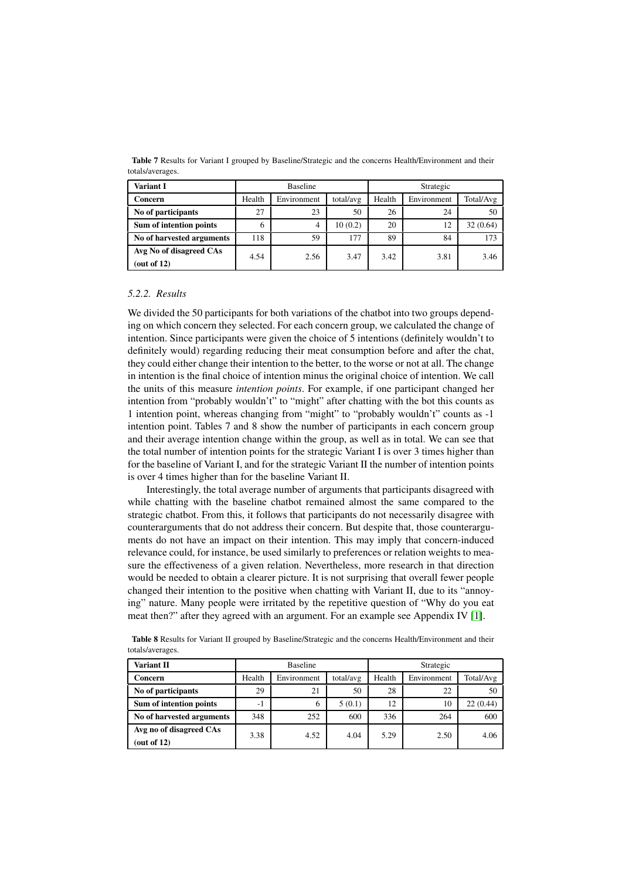| Variant I                    |        | <b>Baseline</b> |           |        | Strategic   |           |  |
|------------------------------|--------|-----------------|-----------|--------|-------------|-----------|--|
| Concern                      | Health | Environment     | total/avg | Health | Environment | Total/Avg |  |
| No of participants           | 27     | 23              | 50        | 26     | 24          | 50        |  |
| Sum of intention points      | 6      | 4               | 10(0.2)   | 20     | 12          | 32(0.64)  |  |
| No of harvested arguments    | 118    | 59              | 177       | 89     | 84          | 173       |  |
| Avg No of disagreed CAs<br>. | 4.54   | 2.56            | 3.47      | 3.42   | 3.81        | 3.46      |  |

Table 7 Results for Variant I grouped by Baseline/Strategic and the concerns Health/Environment and their totals/averages.

#### *5.2.2. Results*

(out of 12)

We divided the 50 participants for both variations of the chatbot into two groups depending on which concern they selected. For each concern group, we calculated the change of intention. Since participants were given the choice of 5 intentions (definitely wouldn't to definitely would) regarding reducing their meat consumption before and after the chat, they could either change their intention to the better, to the worse or not at all. The change in intention is the final choice of intention minus the original choice of intention. We call the units of this measure *intention points*. For example, if one participant changed her intention from "probably wouldn't" to "might" after chatting with the bot this counts as 1 intention point, whereas changing from "might" to "probably wouldn't" counts as -1 intention point. Tables 7 and 8 show the number of participants in each concern group and their average intention change within the group, as well as in total. We can see that the total number of intention points for the strategic Variant I is over 3 times higher than for the baseline of Variant I, and for the strategic Variant II the number of intention points is over 4 times higher than for the baseline Variant II.

Interestingly, the total average number of arguments that participants disagreed with while chatting with the baseline chatbot remained almost the same compared to the strategic chatbot. From this, it follows that participants do not necessarily disagree with counterarguments that do not address their concern. But despite that, those counterarguments do not have an impact on their intention. This may imply that concern-induced relevance could, for instance, be used similarly to preferences or relation weights to measure the effectiveness of a given relation. Nevertheless, more research in that direction would be needed to obtain a clearer picture. It is not surprising that overall fewer people changed their intention to the positive when chatting with Variant II, due to its "annoying" nature. Many people were irritated by the repetitive question of "Why do you eat meat then?" after they agreed with an argument. For an example see Appendix IV  $\left[\prod\right]$ .

| <b>Variant II</b>                         |        | <b>Baseline</b><br>Strategic |           |        |             |           |  |  |  |
|-------------------------------------------|--------|------------------------------|-----------|--------|-------------|-----------|--|--|--|
|                                           |        |                              |           |        |             |           |  |  |  |
| Concern                                   | Health | Environment                  | total/avg | Health | Environment | Total/Avg |  |  |  |
| No of participants                        | 29     | 21                           | 50        | 28     | 22          | 50        |  |  |  |
| Sum of intention points                   | - 1    | 6                            | 5(0.1)    | 12     | 10          | 22(0.44)  |  |  |  |
| No of harvested arguments                 | 348    | 252                          | 600       | 336    | 264         | 600       |  |  |  |
| Avg no of disagreed CAs<br>(out of $12$ ) | 3.38   | 4.52                         | 4.04      | 5.29   | 2.50        | 4.06      |  |  |  |

Table 8 Results for Variant II grouped by Baseline/Strategic and the concerns Health/Environment and their totals/averages.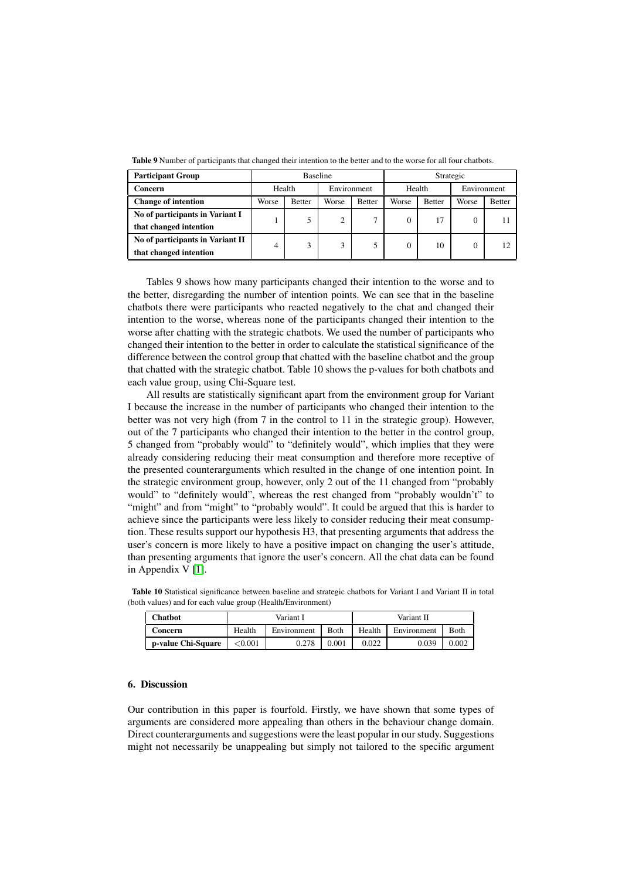| <b>Participant Group</b>         | Baseline |               |             |               | Strategic |               |             |               |
|----------------------------------|----------|---------------|-------------|---------------|-----------|---------------|-------------|---------------|
| Concern                          | Health   |               | Environment |               | Health    |               | Environment |               |
| <b>Change of intention</b>       | Worse    | <b>Better</b> | Worse       | <b>Better</b> | Worse     | <b>Better</b> | Worse       | <b>Better</b> |
| No of participants in Variant I  |          |               | ↑           | ⇁             |           | 17            |             |               |
| that changed intention           |          |               |             |               |           |               |             |               |
| No of participants in Variant II | 4        |               | 3           |               |           | 10            |             |               |
| that changed intention           |          |               |             |               |           |               |             |               |

Table 9 Number of participants that changed their intention to the better and to the worse for all four chatbots.

Tables 9 shows how many participants changed their intention to the worse and to the better, disregarding the number of intention points. We can see that in the baseline chatbots there were participants who reacted negatively to the chat and changed their intention to the worse, whereas none of the participants changed their intention to the worse after chatting with the strategic chatbots. We used the number of participants who changed their intention to the better in order to calculate the statistical significance of the difference between the control group that chatted with the baseline chatbot and the group that chatted with the strategic chatbot. Table 10 shows the p-values for both chatbots and each value group, using Chi-Square test.

All results are statistically significant apart from the environment group for Variant I because the increase in the number of participants who changed their intention to the better was not very high (from 7 in the control to 11 in the strategic group). However, out of the 7 participants who changed their intention to the better in the control group, 5 changed from "probably would" to "definitely would", which implies that they were already considering reducing their meat consumption and therefore more receptive of the presented counterarguments which resulted in the change of one intention point. In the strategic environment group, however, only 2 out of the 11 changed from "probably would" to "definitely would", whereas the rest changed from "probably wouldn't" to "might" and from "might" to "probably would". It could be argued that this is harder to achieve since the participants were less likely to consider reducing their meat consumption. These results support our hypothesis H3, that presenting arguments that address the user's concern is more likely to have a positive impact on changing the user's attitude, than presenting arguments that ignore the user's concern. All the chat data can be found in Appendix V  $\Pi$ .

Table 10 Statistical significance between baseline and strategic chatbots for Variant I and Variant II in total (both values) and for each value group (Health/Environment)

| <b>Chatbot</b>     |            | Variant I   |       | Variant II |             |             |
|--------------------|------------|-------------|-------|------------|-------------|-------------|
| <b>Concern</b>     | Health     | Environment | Both  | Health     | Environment | <b>Both</b> |
| p-value Chi-Square | ${<}0.001$ | 0.278       | 0.001 | 0.022      | 0.039       | 0.002       |

# 6. Discussion

Our contribution in this paper is fourfold. Firstly, we have shown that some types of arguments are considered more appealing than others in the behaviour change domain. Direct counterarguments and suggestions were the least popular in our study. Suggestions might not necessarily be unappealing but simply not tailored to the specific argument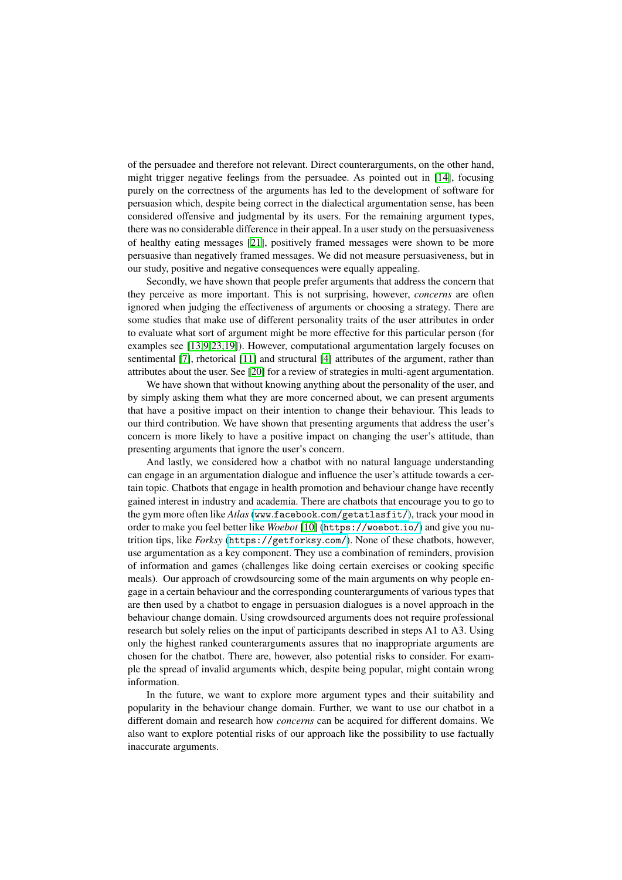of the persuadee and therefore not relevant. Direct counterarguments, on the other hand, might trigger negative feelings from the persuadee. As pointed out in  $[14]$ , focusing purely on the correctness of the arguments has led to the development of software for persuasion which, despite being correct in the dialectical argumentation sense, has been considered offensive and judgmental by its users. For the remaining argument types, there was no considerable difference in their appeal. In a user study on the persuasiveness of healthy eating messages  $[21]$ , positively framed messages were shown to be more persuasive than negatively framed messages. We did not measure persuasiveness, but in our study, positive and negative consequences were equally appealing.

Secondly, we have shown that people prefer arguments that address the concern that they perceive as more important. This is not surprising, however, *concerns* are often ignored when judging the effectiveness of arguments or choosing a strategy. There are some studies that make use of different personality traits of the user attributes in order to evaluate what sort of argument might be more effective for this particular person (for examples see  $[1392319]$ ). However, computational argumentation largely focuses on sentimental  $\boxed{7}$ , rhetorical  $\boxed{11}$  and structural  $\boxed{4}$  attributes of the argument, rather than attributes about the user. See  $[20]$  for a review of strategies in multi-agent argumentation.

We have shown that without knowing anything about the personality of the user, and by simply asking them what they are more concerned about, we can present arguments that have a positive impact on their intention to change their behaviour. This leads to our third contribution. We have shown that presenting arguments that address the user's concern is more likely to have a positive impact on changing the user's attitude, than presenting arguments that ignore the user's concern.

And lastly, we considered how a chatbot with no natural language understanding can engage in an argumentation dialogue and influence the user's attitude towards a certain topic. Chatbots that engage in health promotion and behaviour change have recently gained interest in industry and academia. There are chatbots that encourage you to go to the gym more often like *Atlas* (www.facebook.com/getatlasfit/), track your mood in order to make you feel better like *Woebot* [10] (https://woebot.io/) and give you nutrition tips, like *Forksy* (https://getforksy.com/). None of these chatbots, however, use argumentation as a key component. They use a combination of reminders, provision of information and games (challenges like doing certain exercises or cooking specific meals). Our approach of crowdsourcing some of the main arguments on why people engage in a certain behaviour and the corresponding counterarguments of various types that are then used by a chatbot to engage in persuasion dialogues is a novel approach in the behaviour change domain. Using crowdsourced arguments does not require professional research but solely relies on the input of participants described in steps A1 to A3. Using only the highest ranked counterarguments assures that no inappropriate arguments are chosen for the chatbot. There are, however, also potential risks to consider. For example the spread of invalid arguments which, despite being popular, might contain wrong information.

In the future, we want to explore more argument types and their suitability and popularity in the behaviour change domain. Further, we want to use our chatbot in a different domain and research how *concerns* can be acquired for different domains. We also want to explore potential risks of our approach like the possibility to use factually inaccurate arguments.